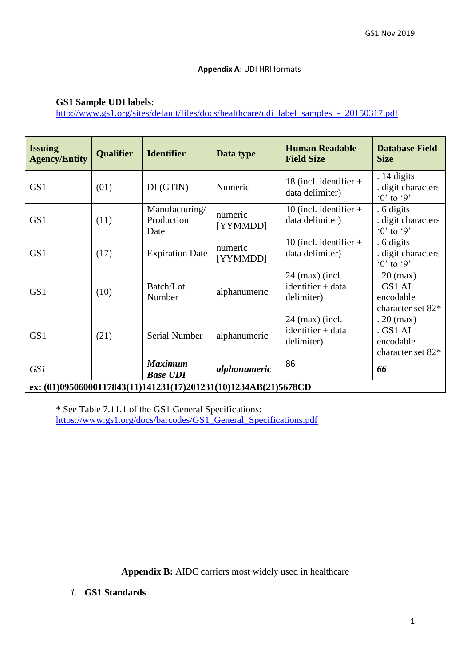## **Appendix A**: UDI HRI formats

## **GS1 Sample UDI labels**:

[http://www.gs1.org/sites/default/files/docs/healthcare/udi\\_label\\_samples\\_-\\_20150317.pdf](http://www.gs1.org/sites/default/files/docs/healthcare/udi_label_samples_-_20150317.pdf)

| <b>Issuing</b><br><b>Agency/Entity</b>                         | <b>Qualifier</b> | <b>Identifier</b>                    | Data type           | <b>Human Readable</b><br><b>Field Size</b>                     | <b>Database Field</b><br><b>Size</b>                             |
|----------------------------------------------------------------|------------------|--------------------------------------|---------------------|----------------------------------------------------------------|------------------------------------------------------------------|
| GS1                                                            | (01)             | DI(GTIN)                             | Numeric             | 18 (incl. identifier $+$<br>data delimiter)                    | $.14$ digits<br>. digit characters<br>$\cdot 0$ ' to $\cdot 9$ ' |
| GS1                                                            | (11)             | Manufacturing/<br>Production<br>Date | numeric<br>[YYMMDD] | 10 (incl. identifier $+$<br>data delimiter)                    | . 6 digits<br>. digit characters<br>$0$ ' to '9'                 |
| GS <sub>1</sub>                                                | (17)             | <b>Expiration Date</b>               | numeric<br>[YYMMDD] | 10 (incl. identifier $+$<br>data delimiter)                    | . 6 digits<br>. digit characters<br>$0$ ' to '9'                 |
| GS <sub>1</sub>                                                | (10)             | Batch/Lot<br>Number                  | alphanumeric        | $24 \text{ (max)}$ (incl.<br>$identifier + data$<br>delimiter) | $.20$ (max)<br>. GS1 AI<br>encodable<br>character set 82*        |
| GS <sub>1</sub>                                                | (21)             | Serial Number                        | alphanumeric        | $24$ (max) (incl.<br>$identifier + data$<br>delimiter)         | $.20$ (max)<br>. GS1 AI<br>encodable<br>character set 82*        |
| GS1                                                            |                  | <b>Maximum</b><br><b>Base UDI</b>    | alphanumeric        | 86                                                             | 66                                                               |
| ex: (01)09506000117843(11)141231(17)201231(10)1234AB(21)5678CD |                  |                                      |                     |                                                                |                                                                  |

\* See Table 7.11.1 of the GS1 General Specifications: [https://www.gs1.org/docs/barcodes/GS1\\_General\\_Specifications.pdf](https://www.gs1.org/docs/barcodes/GS1_General_Specifications.pdf)

**Appendix B:** AIDC carriers most widely used in healthcare

## *1.* **GS1 Standards**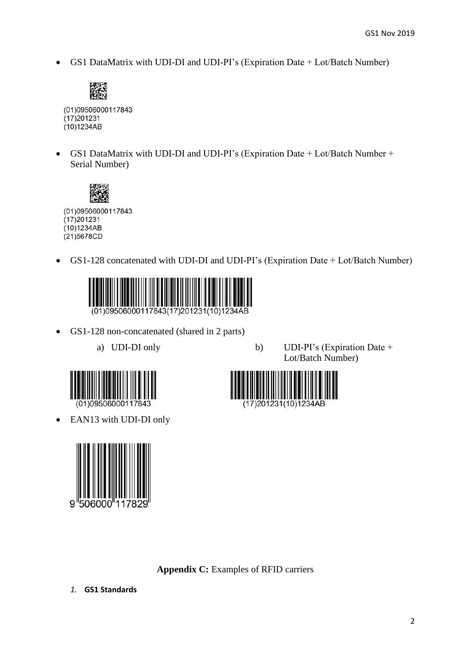GS1 DataMatrix with UDI-DI and UDI-PI's (Expiration Date + Lot/Batch Number)



(01)09506000117843  $(17)201231$  $(10)1234AB$ 

 GS1 DataMatrix with UDI-DI and UDI-PI's (Expiration Date + Lot/Batch Number + Serial Number)



(01)09506000117843  $(17)201231$ (10)1234AB (21)5678CD

GS1-128 concatenated with UDI-DI and UDI-PI's (Expiration Date + Lot/Batch Number)



- GS1-128 non-concatenated (shared in 2 parts)
	-



17) 201231 (10) 1234AB

a) UDI-DI only b) UDI-PI's (Expiration Date + Lot/Batch Number)



EAN13 with UDI-DI only



**Appendix C:** Examples of RFID carriers

*1.* **GS1 Standards**